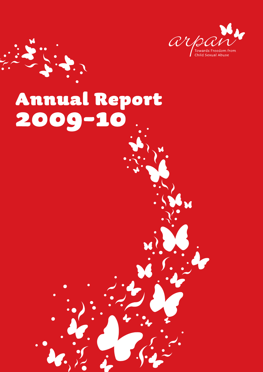

# Annual Report 2009-10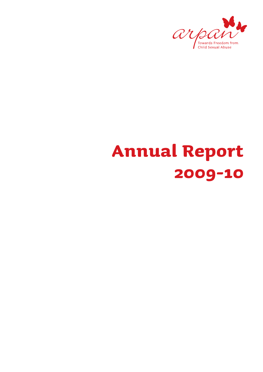

# **Annual Report 2009-10**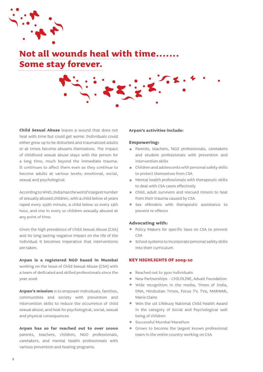

# **Not all wounds heal with time... Some stay forever.**

**Child Sexual Abuse** leaves a wound that does not heal with time but could get worse. Individuals could either grow up to be disturbed and traumatized adults or at times become abusers themselves. The impact of childhood sexual abuse stays with the person for a long time, much beyond the immediate trauma. It continues to affect them even as they continue to become adults at various levels; emotional, social, sexual and psychological.

According to WHO, India has the world's largest number of sexually abused children, with a child below 16 years raped every 155th minute, a child below 10 every 13th hour, and one in every 10 children sexually abused at any point of time.

Given the high prevalence of Child Sexual Abuse (CSA) and its long lasting negative impact on the life of the individual it becomes imperative that interventions are taken.

**Arpan is a registered NGO based in Mumbai**  working on the issue of Child Sexual Abuse (CSA) with a team of dedicated and skilled professionals since the year 2006.

**Arpan's mission** is to empower individuals, families, communities and society with prevention and intervention skills to reduce the occurrence of child sexual abuse, and heal its psychological, social, sexual and physical consequences.

**Arpan has so far reached out to over 10000**  parents, teachers, children, NGO professionals, caretakers, and mental health professionals with various prevention and healing programs.

## **Arpan's activities include:**

# **Empowering:**

- Parents, teachers, NGO professionals, caretakers  $\sim$ and student professionals with prevention and intervention skills
- Children and adolescents with personal safety skills to protect themselves from CSA
- Mental health professionals with therapeutic skills to deal with CSA cases effectively
- Child, adult survivors and rescued minors to heal from their trauma caused by CSA
- Sex offenders with therapeutic assistance to prevent re offence

#### **Advocating with:**

- Policy Makers for specific laws on CSA to prevent CSA
- **School systems to incorporate personal safety skills** into their curriculum

## **KEY HIGHLIGHTS OF 2009-10**

- Reached out to 3500 individuals
- New Partnerships CHILDLINE, Advait Foundation
- Wide recognition in the media; Times of India, DNA, Hindustan Times, Focus TV, TV9, MARWAR, Marie Claire
- Won the 1st Lifebuoy National Child Health Award in the category of Social and Psychological well being of children
- Successful Mumbai Marathon
- Grown to become the largest known professional team in the entire country working on CSA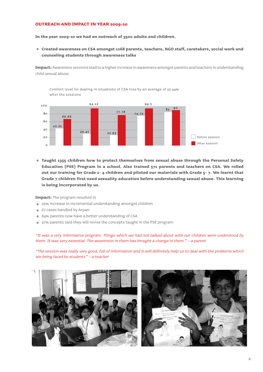# **OUTREACH AND IMPACT IN YEAR 2009-10**

**In the year 2009-10 we had an outreach of 3500 adults and children.**

**Created awareness on CSA amongst 1268 parents, teachers, NGO staff, caretakers, social work and counseling students through awareness talks**

**Impact:** Awareness sessions lead to a higher increase in awareness amongst parents and teachers in understanding child sexual abuse.

Comfort level for dealing in situations of CSA rose by an average of 32.94% after the sessions



**Taught 1355 children how to protect themselves from sexual abuse through the Personal Safety Education (PSE) Program in a school. Also trained 571 parents and teachers on CSA. We rolled out our training for Grade 1- 4 children and piloted our materials with Grade 5- 7. We learnt that Grade 7 children first need sexuality education before understanding sexual abuse. This learning is being incorporated by us.**

**Impact:** The program resulted in

- 25% increase in incremental understanding amongst children
- **67 cases handled by Arpan**
- 84% parents now have a better understanding of CSA
- 97% parents said they will revise the concepts taught in the PSE program

"It was a very informative program. Things which we had not talked about with our children were understood by them. It was very essential. The awareness in them has brought a change in them." – a parent

"The session was really very good, full of information and it will definitely help us to deal with the problems which are being faced by students" – a teacher

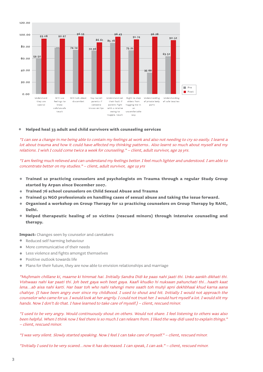

#### $\bullet$ **Helped heal 33 adult and child survivors with counseling services**

"I can see a change in me being able to contain my feelings at work and also not needing to cry so easily. I learnt a lot about trauma and how it could have affected my thinking patterns.. Also learnt so much about myself and my relations. I wish I could come twice a week for counseling." – client, adult survivor, age 29 yrs.

"I am feeling much relieved and can understand my feelings better. I feel much lighter and understood. I am able to concentrate better on my studies." – client, adult survivor, age 19 yrs

- $\blacksquare$ **Trained 10 practicing counselors and psychologists on Trauma through a regular Study Group started by Arpan since December 2007.**
- **Trained 76 school counselors on Child Sexual Abuse and Trauma**  $\bullet$
- **Trained 51 NGO professionals on handling cases of sexual abuse and taking the issue forward.**  $\overline{a}$
- **Organised a workshop on Group Therapy for 12 practicing counselors on Group Therapy by RAHI, Delhi.**
- **Helped therapeutic healing of 20 victims (rescued minors) through intensive counseling and**   $\bullet$ **therapy.**

**Impact:** Changes seen by counselor and caretakers

- Reduced self harming behaviour
- More communicative of their needs  $\blacksquare$
- Less violence and fights amongst themselves  $\blacksquare$
- Positive outlook towards life
- $\blacksquare$ Plans for their future, they are now able to envision relationships and marriage

"Mujhmain chillane ki, maarne ki himmat hai. Initially Sandra Didi ke paas nahi jaati thi. Unko aankh dikhati thi. Vishwaas nahi kar paati thi. Joh beet gaya woh beet gaya. Kaafi khudko hi nuksaan pahunchati thi…haath kaat lena…ab aisa nahi karti. Har baar toh who nahi rahengi mere saath toh muhji apni dekhbhaal khud karna aana chahiye. (I have been angry ever since my childhood. I used to shout and hit. Initially I would not approach the counselor who came for us. I would look at her angrily. I could not trust her. I would hurt myself a lot. I would slit my hands. Now I don't do that. I have learned to take care of myself.) – client, rescued minor.

"I used to be very angry. Would continuously shout on others. Would not share. I feel listening to others was also been helpful. When I think now I feel there is so much I can relearn from. I liked the way didi used to explain things." – client, rescued minor.

"I was very silent. Slowly started speaking. Now I feel I can take care of myself." – client, rescued minor.

"Initially I used to be very scared…now it has decreased. I can speak, I can ask." – client, rescued minor.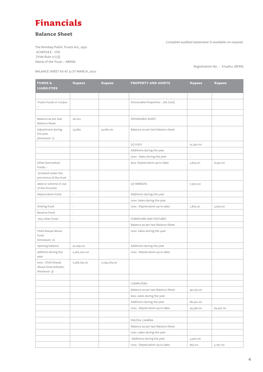# **Financials**

# **Balance Sheet**

The Bombay Public Trusts Act, 1950 SCHEDULE - VIII [Vide Rule 17 (1)] Name of the Trust :- ARPAN

Complete audited statement is available on request.

Registration No. : E/24873 (BOM)

BALANCE SHEET AS AT 31 ST MARCH, 2010

| FUNDS &<br><b>LIABILITIES</b>                               | <b>Rupees</b>       | <b>Rupees</b> | <b>PROPERTY AND ASSETS</b>        | <b>Rupees</b>            | <b>Rupees</b> |
|-------------------------------------------------------------|---------------------|---------------|-----------------------------------|--------------------------|---------------|
|                                                             |                     |               |                                   |                          |               |
| Trusts Funds or Corpus<br>$\mathbb{H}^{\perp}$              |                     |               | Immovable Properties :- (At Cost) | ÷,                       | ÷,            |
|                                                             |                     |               |                                   |                          |               |
| Balance as per last<br><b>Balance Sheet</b>                 | 18,001              |               | <b>INTANGIBLE ASSET:</b>          |                          |               |
| Adjustment during<br>the year<br>(Annexure 1)               | 23,660              | 41,661.00     | Balance as per last balance sheet |                          |               |
|                                                             |                     |               | $(1)$ LOGO                        | 11,250.00                |               |
|                                                             |                     |               | Additions during the year         | $\overline{\phantom{a}}$ |               |
|                                                             |                     |               | Less : Sales during the year      | L,                       |               |
| Other Earmarked<br>Funds :-                                 |                     |               | less: Depreciation up to date     | 2,813.00                 | 8,437.00      |
| (Created under the<br>provisions of the trust               |                     |               |                                   |                          |               |
| deed or scheme or out<br>of the Income)                     |                     |               | (2) WEBSITE:                      | 7,500.00                 |               |
| Depreciation Fund                                           | $\bar{\phantom{a}}$ |               | Additions during the year         | $\overline{\phantom{a}}$ |               |
|                                                             |                     |               | Less: Sales during the year       | $\overline{a}$           |               |
| Sinking Fund                                                | ÷,                  |               | Less : Depreication up to date    | 1,875.00                 | 5,625.00      |
| Reserve Fund                                                | ÷,                  |               |                                   |                          |               |
| Any other Fund:                                             | ÷,                  |               | FURNITURE AND FIXTURES            |                          |               |
|                                                             |                     |               | Balance as per last Balance Sheet | $\overline{\phantom{a}}$ |               |
| Child Sexual Abuse<br>Fund<br>(Annexure 2)                  |                     |               | Less: Sales during the year       | $\overline{a}$           |               |
| opening balance                                             | 47,299.00           |               | Additions during the year         | $\overline{\phantom{a}}$ |               |
| addition during the<br>year                                 | 2,261,200.00        |               | Less : Depreication up to date    | $\overline{a}$           | ÷,            |
| Less : Child Sexual<br>Abuse fund utilised (<br>Annexure 3) | 1,258,735.00        | 1,049,764.00  |                                   |                          |               |
|                                                             |                     |               |                                   |                          |               |
|                                                             |                     |               | COMPUTERS:                        |                          |               |
|                                                             |                     |               | Balance as per last Balance Sheet | 39,025.00                |               |
|                                                             |                     |               | less: sales during the year       | $\overline{a}$           |               |
|                                                             |                     |               | Additions during the year         | 68,410.00                |               |
|                                                             |                     |               | Less : Depreication up to date    | 43,938.00                | 63,497.00     |
|                                                             |                     |               |                                   |                          |               |
|                                                             |                     |               | DIGITAL CAMERA                    |                          |               |
|                                                             |                     |               | Balance as per last Balance Sheet | ÷,                       |               |
|                                                             |                     |               | Less: sales during the year       | $\bar{\phantom{a}}$      |               |
|                                                             |                     |               | Additions during the year         | 4,420.00                 |               |
|                                                             |                     |               | Less : Depreication up to date    | 663.00                   | 3,757.00      |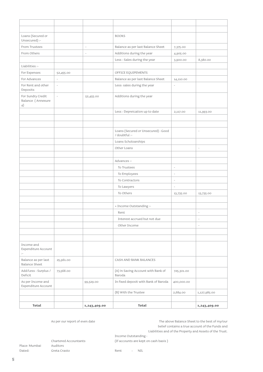| Loans (Secured or<br>Unsecured) :-                          |                          |                          | <b>BOOKS</b>                                         |                          |                          |
|-------------------------------------------------------------|--------------------------|--------------------------|------------------------------------------------------|--------------------------|--------------------------|
| From Trustees                                               |                          | $\overline{\phantom{a}}$ | Balance as per last Balance Sheet                    | 7,375.00                 |                          |
| From Others                                                 |                          |                          | Additions during the year                            | 4,905.00                 |                          |
|                                                             |                          |                          | Less : Sales during the year                         | 3,900.00                 | 8,380.00                 |
| Liabilities :-                                              |                          |                          |                                                      |                          |                          |
| For Expenses                                                | 52,455.00                |                          | OFFICE EQUIPEMENTS                                   |                          |                          |
| For Advances                                                | $\overline{\phantom{a}}$ |                          | Balance as per last Balance Sheet                    | 14,110.00                |                          |
| For Rent and other<br>Deposits                              |                          |                          | Less: sales during the year                          |                          |                          |
| For Sundry Credit<br>Balance (Annexure<br>4)                |                          | 52,455.00                | Additions during the year                            |                          |                          |
|                                                             |                          |                          | Less : Depreication up to date                       | 2,117.00                 | 11,993.00                |
|                                                             |                          |                          |                                                      |                          |                          |
|                                                             |                          |                          |                                                      |                          |                          |
|                                                             |                          |                          | Loans (Secured or Unsecured) : Good<br>/ doubtful :- |                          | $\sim$                   |
|                                                             |                          |                          | Loans Scholoarships                                  |                          |                          |
|                                                             |                          |                          | Other Loans                                          |                          | $\overline{\phantom{a}}$ |
|                                                             |                          |                          |                                                      |                          |                          |
|                                                             |                          |                          | Advances :-                                          |                          |                          |
|                                                             |                          |                          | To Trustees                                          | $\overline{\phantom{a}}$ |                          |
|                                                             |                          |                          | To Employees                                         | $\bar{a}$                |                          |
|                                                             |                          |                          | To Contractors                                       | $\overline{\phantom{a}}$ |                          |
|                                                             |                          |                          | To Lawyers                                           | $\sim$                   |                          |
|                                                             |                          |                          | To Others                                            | 13,735.00                | 13,735.00                |
|                                                             |                          |                          |                                                      |                          |                          |
|                                                             |                          |                          | + Income Outstanding :-                              |                          |                          |
|                                                             |                          |                          | Rent                                                 |                          | $\overline{\phantom{a}}$ |
|                                                             |                          |                          | Interest accrued but not due                         |                          | ÷                        |
|                                                             |                          |                          | Other Income                                         |                          | i,                       |
|                                                             |                          |                          |                                                      |                          |                          |
|                                                             |                          |                          |                                                      |                          |                          |
| Income and<br>Expenditure Account<br>$\ddot{\phantom{1}}$ . |                          |                          |                                                      |                          |                          |
| Balance as per last<br><b>Balance Sheet</b>                 | 25,961.00                |                          | CASH AND BANK BALANCES                               |                          |                          |
| Add/Less: Surplus /<br>Deficit                              | 73,568.00                |                          | (A) in Saving Account with Bank of<br>Baroda         | 725,301.00               |                          |
| As per Income and<br>Expenditure Account                    |                          | 99,529.00                | In fixed deposit with Bank of Baroda                 | 400,000.00               |                          |
|                                                             |                          |                          | (B) With the Trustee                                 | 2,684.00                 | 1,127,985.00             |
|                                                             |                          |                          |                                                      |                          |                          |
| Total                                                       |                          | 1,243,409.00             | <b>Total</b>                                         |                          | 1,243,409.00             |

As per our report of even date  $T$ he above Balance Sheet to the best of my/our belief contains a true account of the Funds and Liabilities and of the Property and Assets of the Trust. Income Outstanding : Chartered Accountants (If accounts are kept on cash basis )

Place: Mumbai Auditors

Dated: Greta Crasto Rent : NIL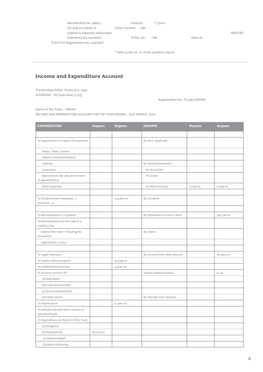| Membership No. 48605               |                    | Interest $:$ $*$ 5700/- |          |                |
|------------------------------------|--------------------|-------------------------|----------|----------------|
| For and on behalf of               | Other Income : NIL |                         |          |                |
| Ganesh & Rajendra Associates       |                    |                         |          | <b>TRUSTEE</b> |
| Chartered Accountants              | TOTAL Rs. : NIL    |                         | Date at: |                |
| ICAI Firm Registration No. 103055W |                    |                         |          |                |

\* refer point no. m of the auditors report

# **Income and Expenditure Account**

The Bombay Public Trusts Act, 1950 SCHEDULE - IX [Vide Rule 17 (1)]

 $\overline{a}$ 

Registration No.: E/24873 (BOM)

Name of the Trust :- ARPAN INCOME AND EXPENDITURE ACCOUNT FOR THE YEAR ENDING : 31ST MARCH, 2010

| <b>EXPENDITURE</b>                                     | <b>Rupees</b>            | <b>Rupees</b> | <b>INCOME</b>                | <b>Rupees</b>            | <b>Rupees</b>  |
|--------------------------------------------------------|--------------------------|---------------|------------------------------|--------------------------|----------------|
|                                                        |                          |               |                              |                          |                |
| To Expenditure in respect of properties<br>$\sim$      |                          |               | By Rent (realised)           |                          |                |
| Rates, Taxes, Cesses                                   | $\bar{\phantom{a}}$      |               |                              |                          |                |
| Repairs and maintenance                                | $\bar{\phantom{a}}$      |               |                              |                          |                |
| Salaries                                               | $\overline{\phantom{a}}$ |               | By Interest (realised) :-    |                          |                |
| Insurance                                              | ÷,                       |               | On Securities                | $\overline{\phantom{a}}$ |                |
| Depreciation (by way of provision<br>of adjustments)   | $\overline{a}$           |               | On Loans                     |                          |                |
| Other Expenses                                         | $\overline{a}$           | l,            | On Bank Account              | 6,064.00                 | 6,064.00       |
|                                                        |                          |               |                              |                          |                |
| To Establishment Expenses (<br>Annexure 5)             |                          | 203,667.00    | By Dividend                  |                          | L,             |
|                                                        |                          |               |                              |                          |                |
| To Remuneration to Trustees                            |                          | L,            | By Donations in Cash or Kind |                          | 363,728.00     |
| To Remuneration (in the case of a<br>math) to the      |                          | L,            |                              |                          |                |
| head of the math including his<br>household            |                          |               | By Grants                    |                          | $\overline{a}$ |
| expenditure, if any)                                   |                          |               |                              |                          |                |
|                                                        |                          |               |                              |                          |                |
| To Legal Expenses                                      |                          |               | By Income from other sources |                          | 80,050.00      |
| To Auditor Remuneration                                |                          | 20,298.00     |                              |                          |                |
| To Contribution and Fees                               |                          | 15,500.00     |                              |                          |                |
| To Amount written off:                                 |                          |               | Sundry balance w/back        |                          | 21.00          |
| (a) Bad Debts                                          | L,                       |               |                              |                          |                |
| (b) Loan Scholoarship                                  | ÷,                       |               |                              |                          |                |
| (c) Irrecoverable Rents                                | Ļ                        |               |                              |                          |                |
| (d) Other Items                                        | L                        | L,            | By Transfer from Reserve     |                          | $\overline{a}$ |
| To Depreciation                                        |                          | 51,406.00     |                              |                          |                |
| To Amount transferred to reserve or<br>specified funds |                          | L,            |                              |                          |                |
| To Expenditure on Objects of the Trust                 |                          |               |                              |                          |                |
| (a) Religious                                          |                          |               |                              |                          |                |
| (b) Educational                                        | 85,424.00                |               |                              |                          |                |
| (c) Medical Relief                                     | í.                       |               |                              |                          |                |
| (d) Relief of Poverty                                  | L,                       |               |                              |                          |                |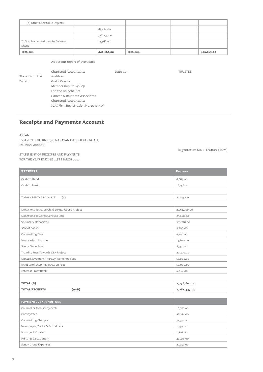| (e) Other Charitable Objects:<br>$\sim$                                                                                      |                                |            |                  |                |            |  |
|------------------------------------------------------------------------------------------------------------------------------|--------------------------------|------------|------------------|----------------|------------|--|
|                                                                                                                              |                                |            | 85,424.00        |                |            |  |
|                                                                                                                              |                                |            | 376,295.00       |                |            |  |
| To Surplus carried over to Balance<br>Sheet                                                                                  |                                | 73,568.00  |                  |                |            |  |
| <b>Total Rs.</b>                                                                                                             |                                | 449,863.00 | <b>Total Rs.</b> |                | 449,863.00 |  |
|                                                                                                                              | As per our report of even date |            |                  |                |            |  |
| Chartered Accountants<br>Place: Mumbai<br>Auditors<br>Dated:<br>Greta Crasto<br>Membership No. 48605<br>For and on behalf of |                                | Date at:   |                  | <b>TRUSTEE</b> |            |  |
|                                                                                                                              | Ganesh & Rajendra Associates   |            |                  |                |            |  |

# **Receipts and Payments Account**

Chartered Accountants

ICAI Firm Registration No. 103055W

ARPAN

10, ARUN BUILDING, 34, NARAYAN DABHOLKAR ROAD, MUMBAI 400006

Registration No. : E/24873 (BOM)

STATEMENT OF RECEIPTS AND PAYMENTS FOR THE YEAR ENDING 31ST MARCH 2010

| <b>RECIEPTS</b>                              | <b>Rupees</b> |
|----------------------------------------------|---------------|
| Cash In Hand                                 | 6,689.00      |
| Cash In Bank                                 | 16,156.00     |
|                                              |               |
| TOTAL OPENING BALANCE<br>(A)                 | 22,845.00     |
|                                              |               |
| Donations Towards Child Sexual Abuse Project | 2,261,200.00  |
| Donations Towards Corpus Fund                | 23,660.00     |
| Voluntary Donations                          | 363,728.00    |
| sale of books                                | 3,900.00      |
| Counselling Fees                             | 9,100.00      |
| Honorarium income                            | 13,800.00     |
| Study Circle Fees                            | 8,750.00      |
| Training Fees Towards CSA Project            | 22,400.00     |
| Dance Movement Therapy Workshop Fees         | 16,000.00     |
| RAHI Workshop Registration Fees              | 10,000.00     |
| Interest From Bank                           | 6,064.00      |
|                                              |               |
| TOTAL (B)                                    | 2,738,602.00  |
| <b>TOTAL RECEIPTS</b><br>$(A+B)$             | 2,761,447.00  |
|                                              |               |
| <b>PAYMENTS / EXPENDITURE</b>                |               |
| Councellor fees-study circle                 | 16,750.00     |
| Conveyance                                   | 96,334.00     |
| Councelling Charges                          | 31,952.00     |
| Newspaper, Books & Periodicals               | 1,993.00      |
| Postage & Courier                            | 1,808.00      |
| Printing & Stationery                        | 42,476.00     |
| Study Group Expenses                         | 23,295.00     |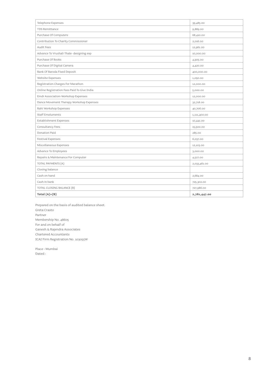| Telephone Expenses                          | 39,485.00    |
|---------------------------------------------|--------------|
| TDS Remittance                              | 9,889.00     |
| Purchase Of Computers                       | 68,410.00    |
| Contribution To Charity Commissioner        | 2,016.00     |
| Audit Fees                                  | 12,961.00    |
| Advance To Vrushali Thale- designing exp    | 10,000.00    |
| Purchase Of Books                           | 4,905.00     |
| Purchase Of Digital Camera                  | 4,420.00     |
| Bank Of Baroda Fixed Deposit                | 400,000.00   |
| Website Expenses                            | 1,050.00     |
| Registration Charges For Marathon           | 12,000.00    |
| Online Registration Fees Paid To Give India | 5,000.00     |
| Emdr Association-Workshop Expenses          | 12,000.00    |
| Dance Movement Therapy Workshop Expenses    | 32,718.00    |
| Rahi Workshop Expenses                      | 40,706.00    |
| <b>Staff Emoluments</b>                     | 1,111,400.00 |
| <b>Establishment Expenses</b>               | 10,441.00    |
| Consultancy Fees                            | 15,500.00    |
| Donation Paid                               | 285.00       |
| <b>Festival Expenses</b>                    | 6,037.00     |
| Miscellaneous Expenses                      | 12,103.00    |
| Advance To Employees                        | 3,000.00     |
| Repairs & Maintenance For Computer          | 4,527.00     |
| TOTAL PAYMENTS (A)                          | 2,033,461.00 |
| Closing balance                             |              |
| Cash on hand                                | 2,684.00     |
| Cash in bank                                | 725,302.00   |
| TOTAL CLOSING BALANCE (B)                   | 727,986.00   |
| Total $(A)+(B)$                             | 2,761,447.00 |
|                                             |              |

Prepared on the basis of audited balance sheet. Greta Crasto Partner Membership No. 48605 For and on behalf of Ganesh & Rajendra Associates Chartered Accountants ICAI Firm Registration No. 103055W

Place : Mumbai Dated :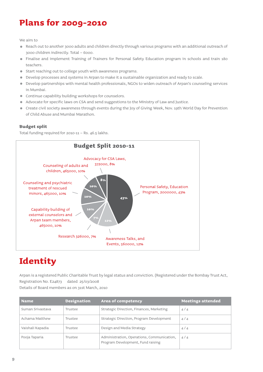# **Plans for 2009-2010**

We aim to

- Reach out to another 3000 adults and children directly through various programs with an additional outreach of 3000 children indirectly. Total – 6000.
- Finalise and implement Training of Trainers for Personal Safety Education program in schools and train 180 teachers.
- Start reaching out to college youth with awareness programs.
- Develop processes and systems in Arpan to make it a sustainable organization and ready to scale.
- Develop partnerships with mental health professionals, NGOs to widen outreach of Arpan's counseling services  $\bullet$ in Mumbai.
- Continue capability building workshops for counselors.
- Advocate for specific laws on CSA and send suggestions to the Ministry of Law and Justice.  $\bullet$
- Create civil society awareness through events during the Joy of Giving Week, Nov. 19th World Day for Prevention  $\bullet$ of Child Abuse and Mumbai Marathon.

# **Budget split**

Total funding required for 2010-11 – Rs. 46.5 lakhs.



# **Identity**

Arpan is a registered Public Charitable Trust by legal status and conviction. (Registered under the Bombay Trust Act, Registration No. E24873 dated 25/03/2008 Details of Board members as on 31st March, 2010

| <b>Name</b>      | <b>Designation</b> | <b>Area of competency</b>                                                       | <b>Meetings attended</b> |
|------------------|--------------------|---------------------------------------------------------------------------------|--------------------------|
| Suman Srivastava | Trustee            | Strategic Direction, Finances, Marketing                                        | 4/4                      |
| Achama Matthew   | Trustee            | Strategic Direction, Program Development                                        | 4/4                      |
| Vaishali Kapadia | Trustee            | Design and Media Strategy                                                       | 4/4                      |
| Pooja Taparia    | Trustee            | Administration, Operations, Communication,<br>Program Development, Fund raising | 4/4                      |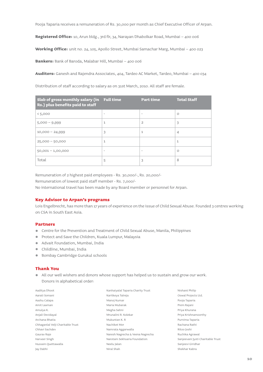Pooja Taparia receives a remuneration of Rs. 30,000 per month as Chief Executive Officer of Arpan.

**Registered Office:** 10, Arun bldg., 3rd flr, 34, Narayan Dhabolkar Road, Mumbai – 400 006

**Working Office:** unit no. 24, 105, Apollo Street, Mumbai Samachar Marg, Mumbai – 400 023

**Bankers:** Bank of Baroda, Malabar Hill, Mumbai – 400 006

**Auditors:** Ganesh and Rajendra Associates, 404, Tardeo AC Market, Tardeo, Mumbai – 400 034

Distribution of staff according to salary as on 31st March, 2010. All staff are female.

| Slab of gross monthly salary (in Full time<br>Rs.) plus benefits paid to staff |                          | <b>Part time</b>         | <b>Total Staff</b> |
|--------------------------------------------------------------------------------|--------------------------|--------------------------|--------------------|
| < 5,000                                                                        | $\overline{\phantom{a}}$ | $\overline{\phantom{a}}$ | $\circ$            |
| $5,000 - 9,999$                                                                | 1                        | $\overline{2}$           | 3                  |
| $10,000 - 24,999$                                                              | 3                        | $\mathbf{1}$             | $\overline{4}$     |
| $25,000 - 50,000$                                                              | $\mathbf{1}$             |                          | $\mathbf{1}$       |
| $50,001 - 1,00,000$                                                            | $\overline{\phantom{a}}$ | $\overline{\phantom{0}}$ | $\Omega$           |
| Total                                                                          | 5                        | 3                        | 8                  |

Remuneration of 2 highest paid employees - Rs. 30,000/-, Rs. 20,000/-

Remuneration of lowest paid staff member - Rs. 7,000/-

No international travel has been made by any Board member or personnel for Arpan.

# **Key Advisor to Arpan's programs**

Lois Engelbrecht, has more than 17 years of experience on the issue of Child Sexual Abuse. Founded 3 centres working on CSA in South East Asia.

## **Partners**

- Centre for the Prevention and Treatment of Child Sexual Abuse, Manila, Philippines
- **•** Protect and Save the Children, Kuala Lumpur, Malaysia
- Advait Foundation, Mumbai, India
- Childline, Mumbai, India
- Bombay Cambridge Gurukul schools

# **Thank You**

All our well wishers and donors whose support has helped us to sustain and grow our work. Donors in alphabetical order:

| Aaditya Dhoot                     |  |
|-----------------------------------|--|
| Aarati Somani                     |  |
| Aashu Calapa                      |  |
| Amit Laxman                       |  |
| Amulya K.                         |  |
| Anjali Devidayal                  |  |
| Archana Bhatia                    |  |
| Chhaganlal Velji Charitable Trust |  |
| Chhavi Sachdev                    |  |
| Gauray Raje                       |  |
| Harveer Singh                     |  |
| Hussain Quettawalla               |  |
| Jay Dabhi                         |  |

Karitkeya Talreja Manoj Kumar Maria Mubarak Megha Sahni Mrunalini R. Kolekar Mukuntan K. R Nachiket Mor Namrata Aggarwalla Naresh Nagrecha & Veena Nagrecha Narotam Sekhsaria Foundation Neelu Jalan Niral Shah

Kanhaiyalal Taparia Charity Trust

Nishant Philip Oswal Projects Ltd. Pooja Taparia Prem Rajani Priya Khurana Priya Krishnamoorthy Purnima Taparia Rachana Rathi Ritoo Joshi Ruchika Agrawal Sanjeevani Jyoti Charitable Trust Sanjeevi Giridhar Shekhar Kabra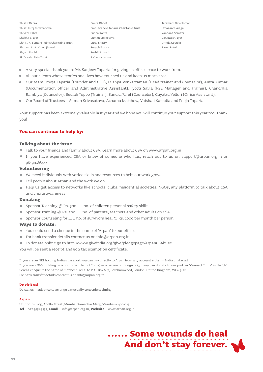Shishir Kabra Shishukunj International Shivani Kabra Shobha S. Iyer Shri N. K. Somani Public Charitable Trust Shri and Smt. Vinod Jhaveri Shyam Dabhi Sir Dorabji Tata Trust

Smita Dhoot Smt. Sitadevi Taparia Charitable Trust Sudha Kabra Suman Srivastava Suraj Shetty Suruchi Kabra Sushil Somani S Vivek Krishna

Taramani Devi Somani Umakanth Adiga Vandana Somani Venkatesh Iyer Vrinda Goenka Zarna Patel

- $\blacksquare$ A very special thank you to Mr. Sanjeev Taparia for giving us office space to work from.
- $\bullet$ All our clients whose stories and lives have touched us and keep us motivated.
- Our team, Pooja Taparia (Founder and CEO), Pushpa Venkatraman (Head trainer and Counselor), Anita Kumar  $\blacksquare$ (Documentation officer and Administrative Assistant), Jyotti Savla (PSE Manager and Trainer), Chandrika Rambiya (Counselor), Beulah Toppo (Trainer), Sandra Farel (Counselor), Gayatru Yelluri (Office Assistant).
- Our Board of Trustees Suman Srivasatava, Achama Matthew, Vaishali Kapadia and Pooja Taparia  $\blacksquare$

Your support has been extremely valuable last year and we hope you will continue your support this year too. Thank you!

# **You can continue to help by:**

# **Talking about the issue**

- Talk to your friends and family about CSA. Learn more about CSA on www.arpan.org.in
- If you have experienced CSA or know of someone who has, reach out to us on support@arpan.org.in or 98190.86444.

## **Volunteering**

- We need individuals with varied skills and resources to help our work grow.
- Tell people about Arpan and the work we do.
- Help us get access to networks like schools, clubs, residential societies, NGOs, any platform to talk about CSA and create awareness.

## **Donating**

- Sponsor Teaching @ Rs. 500 .... no. of children personal safety skills
- Sponsor Training @ Rs. 200 <sub>----</sub> no. of parents, teachers and other adults on CSA.
- Sponsor Counseling for \_\_\_\_\_ no. of survivors heal @ Rs. 1000 per month per person.

# **Ways to donate:**

- You could send a cheque in the name of 'Arpan' to our office.
- For bank transfer details contact us on info@arpan.org.in.
- To donate online go to http://www.giveindia.org/give/pledgepage/ArpanCSAbuse

You will be sent a receipt and 80G tax exemption certificate.

If you are an NRI holding Indian passport you can pay directly to Arpan from any account either in India or abroad. If you are a PIO (holding passport other than of India) or a person of foreign origin you can donate to our partner 'Connect India' in the UK. Send a cheque in the name of 'Connect India' to P. O. Box 667, Borehamwood, London, United Kingdom, WD6 9DR. For bank transfer details contact us on info@arpan.org.in

### **Do visit us!**

Do call us in advance to arrange a mutually convenient timing.

### **Arpan**

Unit no. 24, 105, Apollo Street, Mumbai Samachar Marg, Mumbai – 400 023 **Tel** – 022.3951.3533, **Email** – info@arpan.org.in, **Website** – www.arpan.org.in